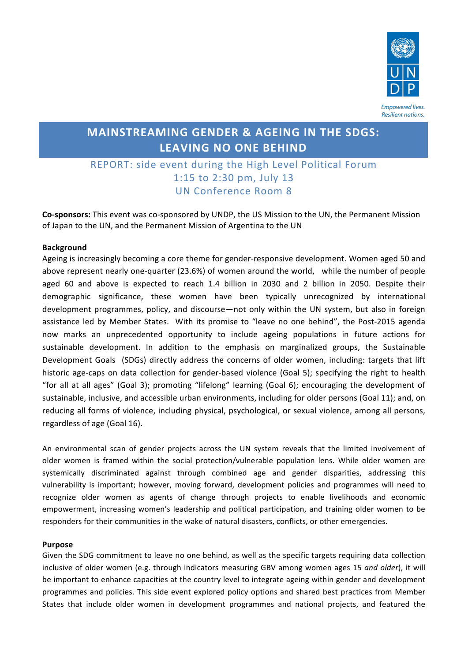

# **MAINSTREAMING GENDER & AGEING IN THE SDGS: LEAVING NO ONE BEHIND**

## REPORT: side event during the High Level Political Forum 1:15 to 2:30 pm, July 13 UN Conference Room 8

**Co-sponsors:** This event was co-sponsored by UNDP, the US Mission to the UN, the Permanent Mission of Japan to the UN, and the Permanent Mission of Argentina to the UN

#### **Background**

Ageing is increasingly becoming a core theme for gender-responsive development. Women aged 50 and above represent nearly one-quarter (23.6%) of women around the world, while the number of people aged 60 and above is expected to reach 1.4 billion in 2030 and 2 billion in 2050. Despite their demographic significance, these women have been typically unrecognized by international development programmes, policy, and discourse—not only within the UN system, but also in foreign assistance led by Member States. With its promise to "leave no one behind", the Post-2015 agenda now marks an unprecedented opportunity to include ageing populations in future actions for sustainable development. In addition to the emphasis on marginalized groups, the Sustainable Development Goals (SDGs) directly address the concerns of older women, including: targets that lift historic age-caps on data collection for gender-based violence (Goal 5); specifying the right to health "for all at all ages" (Goal 3); promoting "lifelong" learning (Goal 6); encouraging the development of sustainable, inclusive, and accessible urban environments, including for older persons (Goal 11); and, on reducing all forms of violence, including physical, psychological, or sexual violence, among all persons, regardless of age (Goal 16).

An environmental scan of gender projects across the UN system reveals that the limited involvement of older women is framed within the social protection/vulnerable population lens. While older women are systemically discriminated against through combined age and gender disparities, addressing this vulnerability is important; however, moving forward, development policies and programmes will need to recognize older women as agents of change through projects to enable livelihoods and economic empowerment, increasing women's leadership and political participation, and training older women to be responders for their communities in the wake of natural disasters, conflicts, or other emergencies.

#### **Purpose**

Given the SDG commitment to leave no one behind, as well as the specific targets requiring data collection inclusive of older women (e.g. through indicators measuring GBV among women ages 15 *and older*), it will be important to enhance capacities at the country level to integrate ageing within gender and development programmes and policies. This side event explored policy options and shared best practices from Member States that include older women in development programmes and national projects, and featured the